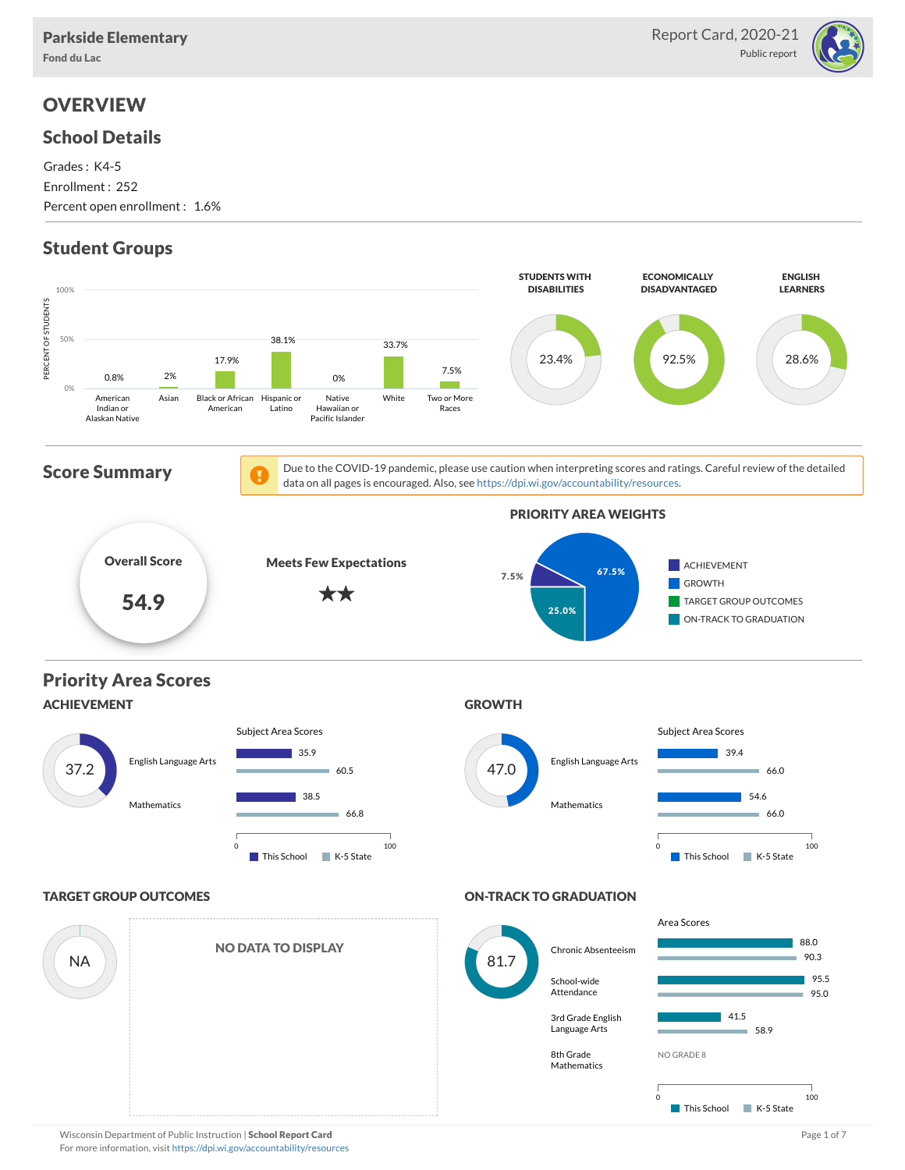

## **OVERVIEW**

#### School Details

Grades : K4-5 Enrollment : 252 Percent open enrollment : 1.6%

## Student Groups

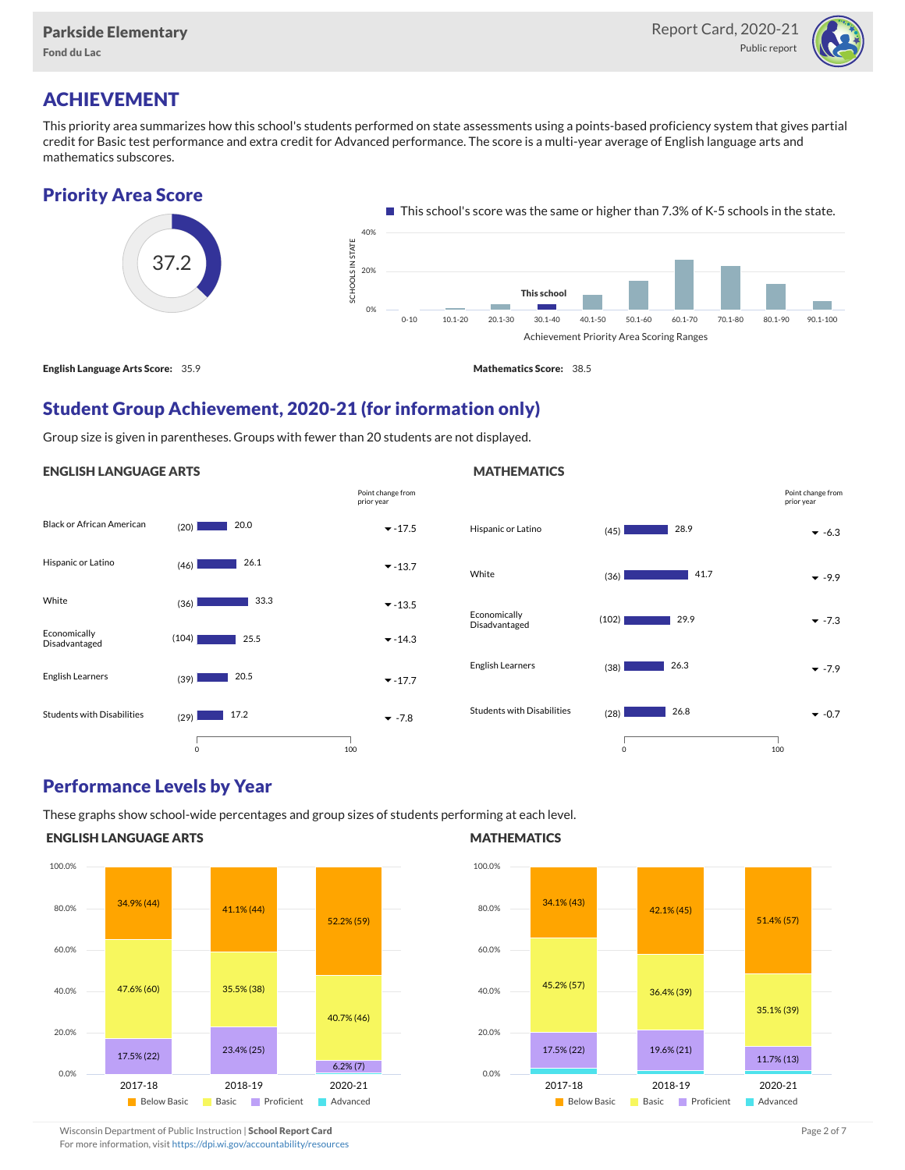

### ACHIEVEMENT

This priority area summarizes how this school's students performed on state assessments using a points-based proficiency system that gives partial credit for Basic test performance and extra credit for Advanced performance. The score is a multi-year average of English language arts and mathematics subscores.

#### Priority Area Score



#### Student Group Achievement, 2020-21 (for information only)

Group size is given in parentheses. Groups with fewer than 20 students are not displayed.

#### ENGLISH LANGUAGE ARTS





#### Performance Levels by Year

These graphs show school-wide percentages and group sizes of students performing at each level.

#### ENGLISH LANGUAGE ARTS



#### **MATHEMATICS**



Wisconsin Department of Public Instruction | School Report Card Page 2 of 7 and 2008 and 2009 and 2 of 7 and 2 of 7

For more information, visit <https://dpi.wi.gov/accountability/resources>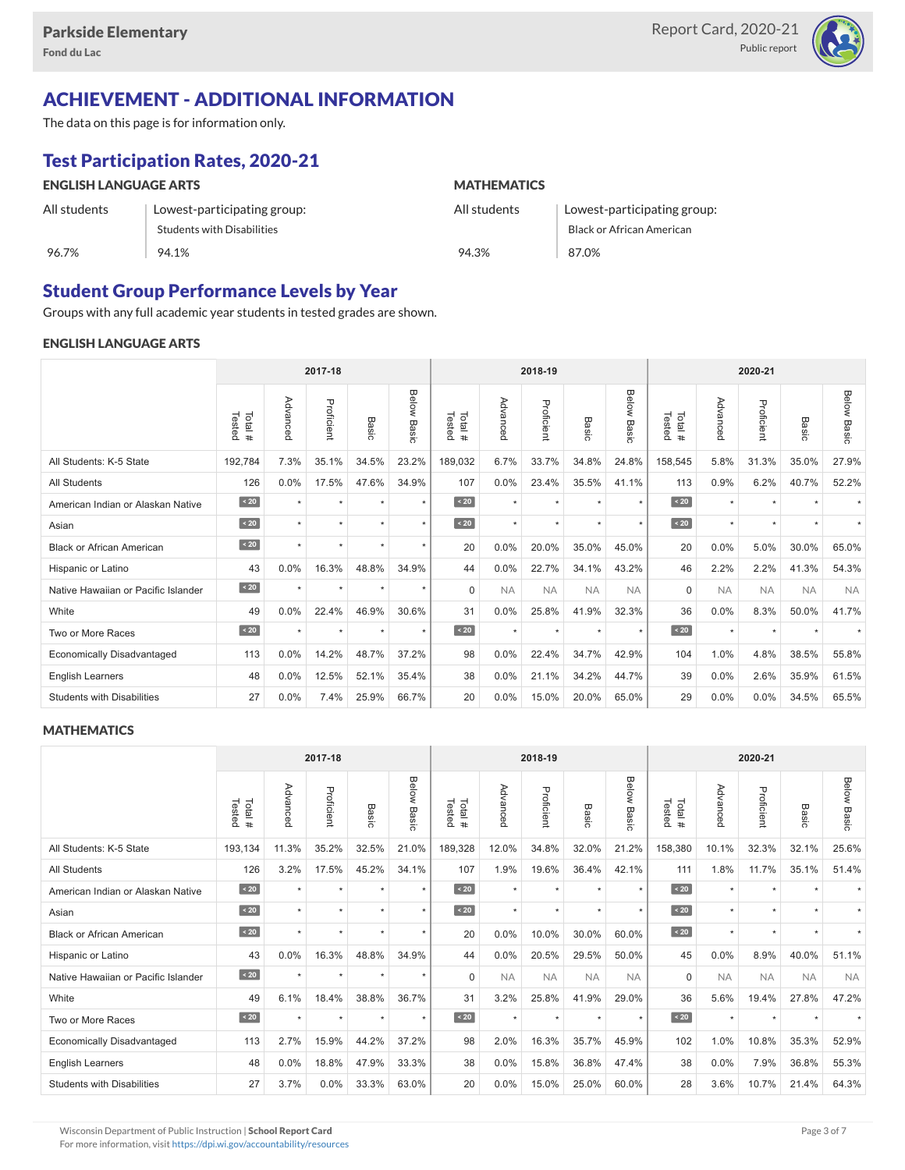

# ACHIEVEMENT - ADDITIONAL INFORMATION

The data on this page is for information only.

# Test Participation Rates, 2020-21

| <b>ENGLISH LANGUAGE ARTS</b> |                                   | <b>MATHEMATICS</b> |                             |  |  |  |  |
|------------------------------|-----------------------------------|--------------------|-----------------------------|--|--|--|--|
| All students                 | Lowest-participating group:       | All students       | Lowest-participating group: |  |  |  |  |
|                              | <b>Students with Disabilities</b> |                    | Black or African American   |  |  |  |  |
| 96.7%                        | 94.1%                             | 94.3%              | 87.0%                       |  |  |  |  |

### Student Group Performance Levels by Year

Groups with any full academic year students in tested grades are shown.

#### ENGLISH LANGUAGE ARTS

|                                     | 2017-18          |          |            |         |                |                   |           | 2018-19    |           |                | 2020-21          |           |            |           |                |
|-------------------------------------|------------------|----------|------------|---------|----------------|-------------------|-----------|------------|-----------|----------------|------------------|-----------|------------|-----------|----------------|
|                                     | Tested<br>Total# | Advanced | Proficient | Basic   | Below<br>Basic | Tested<br>Total # | Advancec  | Proficient | Basic     | Below<br>Basic | Tested<br>Total# | Advancec  | Proficient | Basic     | Below<br>Basic |
| All Students: K-5 State             | 192,784          | 7.3%     | 35.1%      | 34.5%   | 23.2%          | 189,032           | 6.7%      | 33.7%      | 34.8%     | 24.8%          | 158,545          | 5.8%      | 31.3%      | 35.0%     | 27.9%          |
| <b>All Students</b>                 | 126              | 0.0%     | 17.5%      | 47.6%   | 34.9%          | 107               | 0.0%      | 23.4%      | 35.5%     | 41.1%          | 113              | 0.9%      | 6.2%       | 40.7%     | 52.2%          |
| American Indian or Alaskan Native   | $\sim 20$        | $\star$  | $\star$    | ٠       | $\star$        | $\sim 20$         | $\star$   | $\star$    | $\star$   | $\star$        | $\sim 20$        | $\star$   | $\star$    |           |                |
| Asian                               | $\sim 20$        | $\star$  | $\star$    | $\star$ | $\star$        | $\angle 20$       | $\star$   | $\star$    | $\star$   | $\star$        | $\angle 20$      | $\star$   | $\star$    | $\star$   |                |
| <b>Black or African American</b>    | $\angle 20$      | $\star$  | $\star$    | $\star$ | $\star$        | 20                | 0.0%      | 20.0%      | 35.0%     | 45.0%          | 20               | 0.0%      | 5.0%       | 30.0%     | 65.0%          |
| Hispanic or Latino                  | 43               | 0.0%     | 16.3%      | 48.8%   | 34.9%          | 44                | 0.0%      | 22.7%      | 34.1%     | 43.2%          | 46               | 2.2%      | 2.2%       | 41.3%     | 54.3%          |
| Native Hawaiian or Pacific Islander | $\sim 20$        |          | $\star$    | $\star$ | $\star$        | $\Omega$          | <b>NA</b> | <b>NA</b>  | <b>NA</b> | <b>NA</b>      | $\Omega$         | <b>NA</b> | <b>NA</b>  | <b>NA</b> | <b>NA</b>      |
| White                               | 49               | 0.0%     | 22.4%      | 46.9%   | 30.6%          | 31                | 0.0%      | 25.8%      | 41.9%     | 32.3%          | 36               | 0.0%      | 8.3%       | 50.0%     | 41.7%          |
| Two or More Races                   | $\angle 20$      | $\star$  | $\star$    | $\star$ | $\star$        | $\angle 20$       | $\star$   | $\star$    | $\star$   | $\star$        | $\angle 20$      | $\star$   | $\star$    |           |                |
| <b>Economically Disadvantaged</b>   | 113              | 0.0%     | 14.2%      | 48.7%   | 37.2%          | 98                | 0.0%      | 22.4%      | 34.7%     | 42.9%          | 104              | 1.0%      | 4.8%       | 38.5%     | 55.8%          |
| <b>English Learners</b>             | 48               | 0.0%     | 12.5%      | 52.1%   | 35.4%          | 38                | 0.0%      | 21.1%      | 34.2%     | 44.7%          | 39               | $0.0\%$   | 2.6%       | 35.9%     | 61.5%          |
| <b>Students with Disabilities</b>   | 27               | 0.0%     | 7.4%       | 25.9%   | 66.7%          | 20                | 0.0%      | 15.0%      | 20.0%     | 65.0%          | 29               | 0.0%      | 0.0%       | 34.5%     | 65.5%          |

#### **MATHEMATICS**

|                                     | 2017-18           |          |            |         |                       |                   |           | 2018-19    |           |                | 2020-21           |           |            |           |                       |
|-------------------------------------|-------------------|----------|------------|---------|-----------------------|-------------------|-----------|------------|-----------|----------------|-------------------|-----------|------------|-----------|-----------------------|
|                                     | Tested<br>Total # | Advanced | Proficient | Basic   | Below<br><b>Basic</b> | Tested<br>Total # | Advanced  | Proficient | Basic     | Below<br>Basic | Tested<br>Total # | Advancec  | Proficient | Basic     | Below<br><b>Basic</b> |
| All Students: K-5 State             | 193,134           | 11.3%    | 35.2%      | 32.5%   | 21.0%                 | 189,328           | 12.0%     | 34.8%      | 32.0%     | 21.2%          | 158,380           | 10.1%     | 32.3%      | 32.1%     | 25.6%                 |
| <b>All Students</b>                 | 126               | 3.2%     | 17.5%      | 45.2%   | 34.1%                 | 107               | 1.9%      | 19.6%      | 36.4%     | 42.1%          | 111               | 1.8%      | 11.7%      | 35.1%     | 51.4%                 |
| American Indian or Alaskan Native   | $\angle 20$       | $\star$  | $\star$    | $\star$ | $\star$               | $\sim 20$         | $\star$   | $\star$    | $\star$   | $\star$        | $\sim 20$         | $\star$   | $\star$    |           |                       |
| Asian                               | $\sim 20$         | $\star$  | $\star$    | ÷       | $\star$               | $\angle 20$       | $\star$   | $\star$    | $\star$   | $\star$        | $\sqrt{20}$       | $\star$   | $\star$    |           |                       |
| <b>Black or African American</b>    | $\angle 20$       | $\star$  | $\star$    | $\star$ | $\star$               | 20                | 0.0%      | 10.0%      | 30.0%     | 60.0%          | $\angle 20$       | $\star$   | $\star$    |           |                       |
| Hispanic or Latino                  | 43                | 0.0%     | 16.3%      | 48.8%   | 34.9%                 | 44                | 0.0%      | 20.5%      | 29.5%     | 50.0%          | 45                | 0.0%      | 8.9%       | 40.0%     | 51.1%                 |
| Native Hawaiian or Pacific Islander | $\sim 20$         | $\star$  | $\star$    | $\star$ | $\star$               | $\Omega$          | <b>NA</b> | <b>NA</b>  | <b>NA</b> | <b>NA</b>      | $\mathbf 0$       | <b>NA</b> | <b>NA</b>  | <b>NA</b> | <b>NA</b>             |
| White                               | 49                | 6.1%     | 18.4%      | 38.8%   | 36.7%                 | 31                | 3.2%      | 25.8%      | 41.9%     | 29.0%          | 36                | 5.6%      | 19.4%      | 27.8%     | 47.2%                 |
| Two or More Races                   | $\angle 20$       | $\star$  | $\star$    | $\star$ | $\star$               | $\angle 20$       | $\star$   | $\star$    | $\star$   | $\star$        | $\sim 20$         | $\star$   | $\star$    |           |                       |
| <b>Economically Disadvantaged</b>   | 113               | 2.7%     | 15.9%      | 44.2%   | 37.2%                 | 98                | 2.0%      | 16.3%      | 35.7%     | 45.9%          | 102               | 1.0%      | 10.8%      | 35.3%     | 52.9%                 |
| English Learners                    | 48                | 0.0%     | 18.8%      | 47.9%   | 33.3%                 | 38                | 0.0%      | 15.8%      | 36.8%     | 47.4%          | 38                | 0.0%      | 7.9%       | 36.8%     | 55.3%                 |
| <b>Students with Disabilities</b>   | 27                | 3.7%     | 0.0%       | 33.3%   | 63.0%                 | 20                | 0.0%      | 15.0%      | 25.0%     | 60.0%          | 28                | 3.6%      | 10.7%      | 21.4%     | 64.3%                 |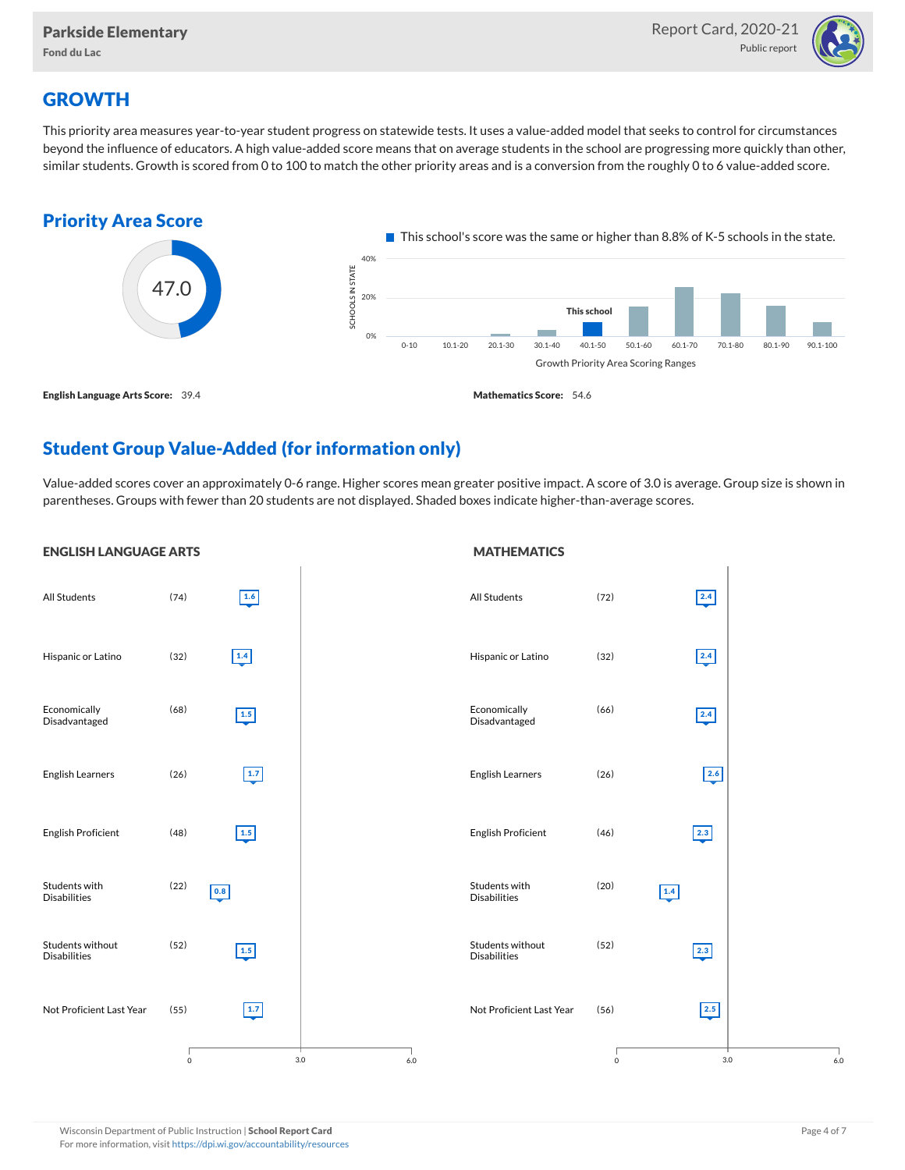

## **GROWTH**

This priority area measures year-to-year student progress on statewide tests. It uses a value-added model that seeks to control for circumstances beyond the influence of educators. A high value-added score means that on average students in the school are progressing more quickly than other, similar students. Growth is scored from 0 to 100 to match the other priority areas and is a conversion from the roughly 0 to 6 value-added score.



## Student Group Value-Added (for information only)

Value-added scores cover an approximately 0-6 range. Higher scores mean greater positive impact. A score of 3.0 is average. Group size is shown in parentheses. Groups with fewer than 20 students are not displayed. Shaded boxes indicate higher-than-average scores.

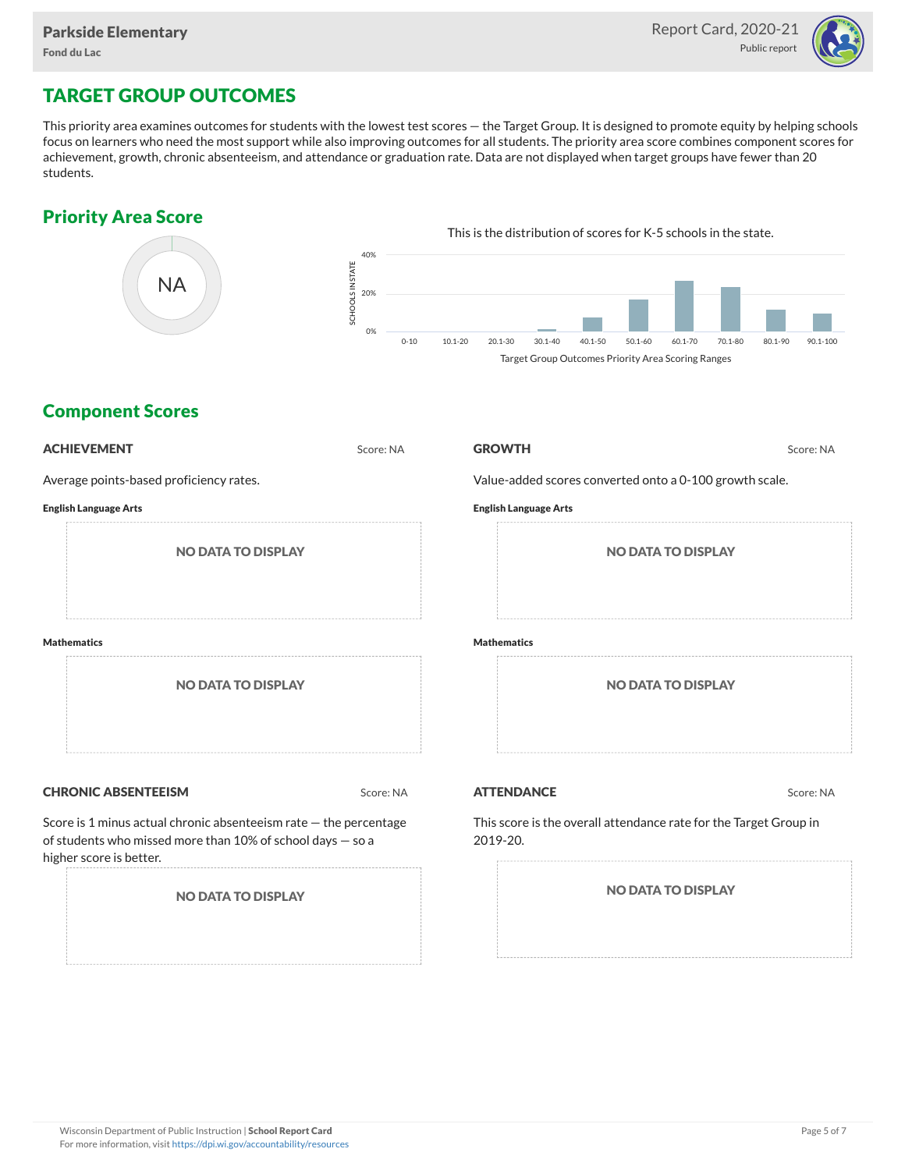

## TARGET GROUP OUTCOMES

This priority area examines outcomes for students with the lowest test scores — the Target Group. It is designed to promote equity by helping schools focus on learners who need the most support while also improving outcomes for all students. The priority area score combines component scores for achievement, growth, chronic absenteeism, and attendance or graduation rate. Data are not displayed when target groups have fewer than 20 students.

### Priority Area Score



### Component Scores

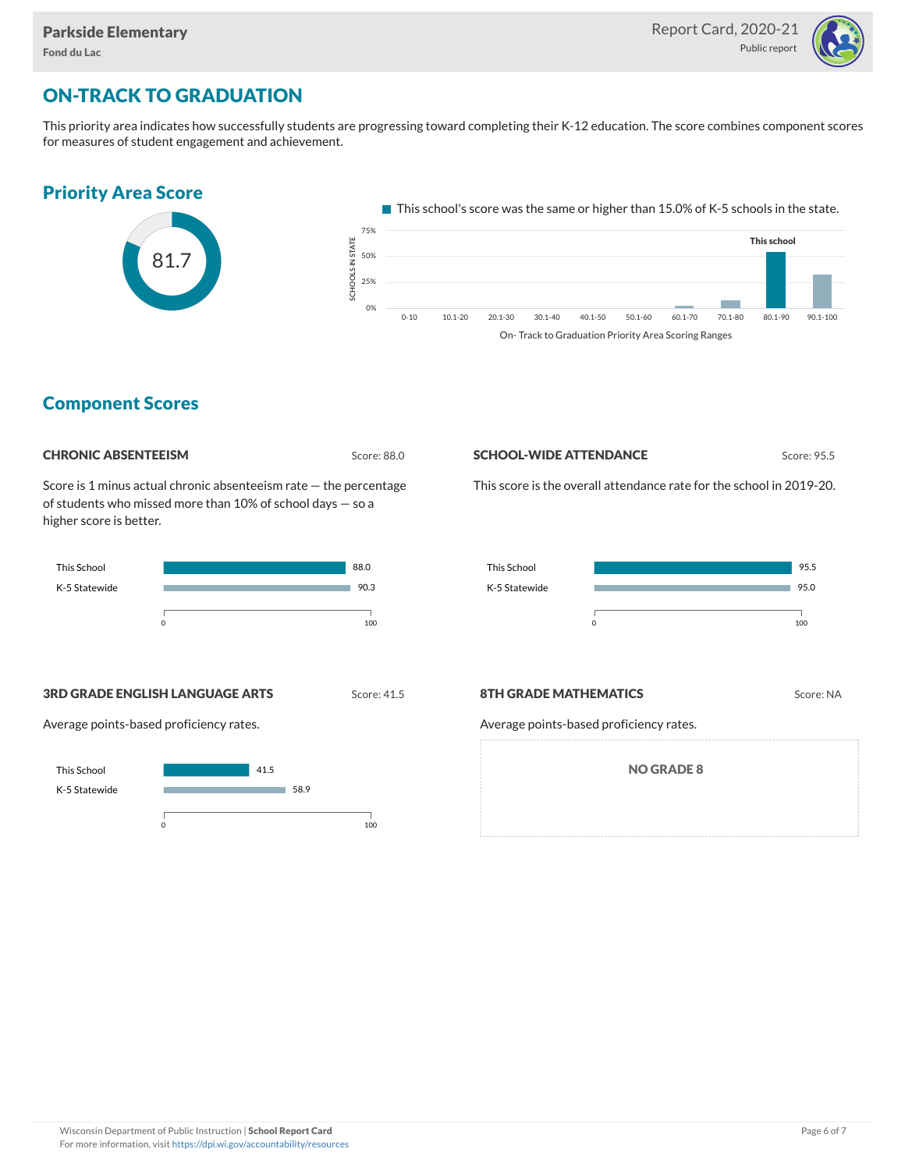**College** 



## ON-TRACK TO GRADUATION

This priority area indicates how successfully students are progressing toward completing their K-12 education. The score combines component scores for measures of student engagement and achievement.

#### Priority Area Score



 $\blacksquare$  This school's score was the same or higher than 15.0% of K-5 schools in the state. e<br>Sc OLS IN STATE<br>?<br>? 50% 25% 75% This school

On- Track to Graduation Priority Area Scoring Ranges

0-10 10.1-20 20.1-30 30.1-40 40.1-50 50.1-60 60.1-70 70.1-80 80.1-90 90.1-100

#### Component Scores

| <b>CHRONIC ABSENTEEISM</b> |
|----------------------------|
|                            |

Score: 88.0

0%

Score is 1 minus actual chronic absenteeism rate — the percentage of students who missed more than 10% of school days — so a higher score is better.



#### **SCHOOL-WIDE ATTENDANCE** Score: 95.5

This score is the overall attendance rate for the school in 2019-20.



**3RD GRADE ENGLISH LANGUAGE ARTS** Score: 41.5

Average points-based proficiency rates.



#### **8TH GRADE MATHEMATICS** Score: NA

Average points-based proficiency rates.

NO GRADE 8